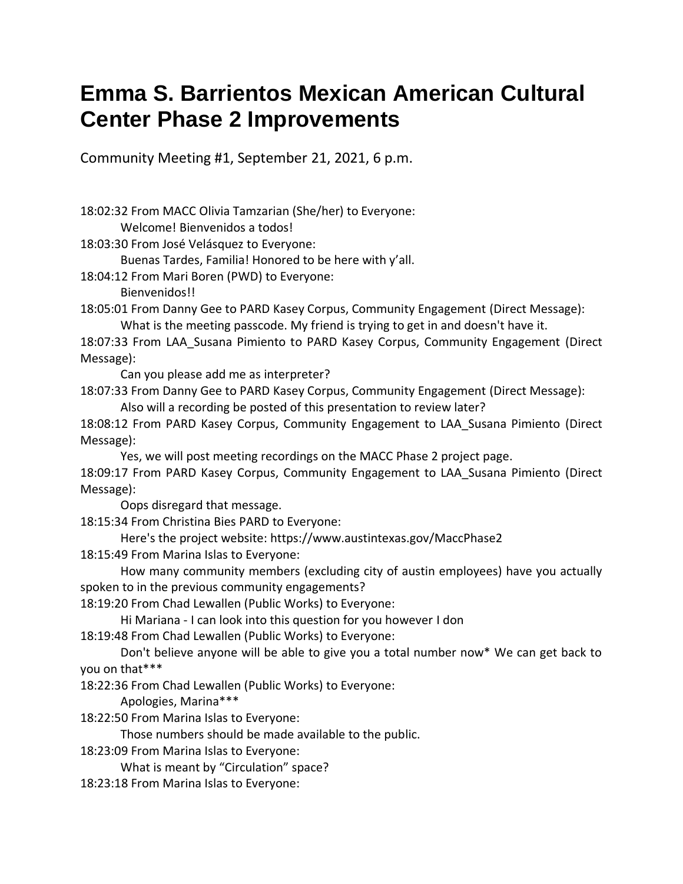## **Emma S. Barrientos Mexican American Cultural Center Phase 2 Improvements**

Community Meeting #1, September 21, 2021, 6 p.m.

18:02:32 From MACC Olivia Tamzarian (She/her) to Everyone: Welcome! Bienvenidos a todos! 18:03:30 From José Velásquez to Everyone: Buenas Tardes, Familia! Honored to be here with y'all. 18:04:12 From Mari Boren (PWD) to Everyone: Bienvenidos!! 18:05:01 From Danny Gee to PARD Kasey Corpus, Community Engagement (Direct Message): What is the meeting passcode. My friend is trying to get in and doesn't have it. 18:07:33 From LAA\_Susana Pimiento to PARD Kasey Corpus, Community Engagement (Direct Message): Can you please add me as interpreter? 18:07:33 From Danny Gee to PARD Kasey Corpus, Community Engagement (Direct Message): Also will a recording be posted of this presentation to review later? 18:08:12 From PARD Kasey Corpus, Community Engagement to LAA\_Susana Pimiento (Direct Message): Yes, we will post meeting recordings on the MACC Phase 2 project page. 18:09:17 From PARD Kasey Corpus, Community Engagement to LAA\_Susana Pimiento (Direct Message): Oops disregard that message. 18:15:34 From Christina Bies PARD to Everyone: Here's the project website: https://www.austintexas.gov/MaccPhase2 18:15:49 From Marina Islas to Everyone: How many community members (excluding city of austin employees) have you actually spoken to in the previous community engagements? 18:19:20 From Chad Lewallen (Public Works) to Everyone: Hi Mariana - I can look into this question for you however I don 18:19:48 From Chad Lewallen (Public Works) to Everyone: Don't believe anyone will be able to give you a total number now\* We can get back to you on that\*\*\* 18:22:36 From Chad Lewallen (Public Works) to Everyone: Apologies, Marina\*\*\* 18:22:50 From Marina Islas to Everyone: Those numbers should be made available to the public. 18:23:09 From Marina Islas to Everyone: What is meant by "Circulation" space? 18:23:18 From Marina Islas to Everyone: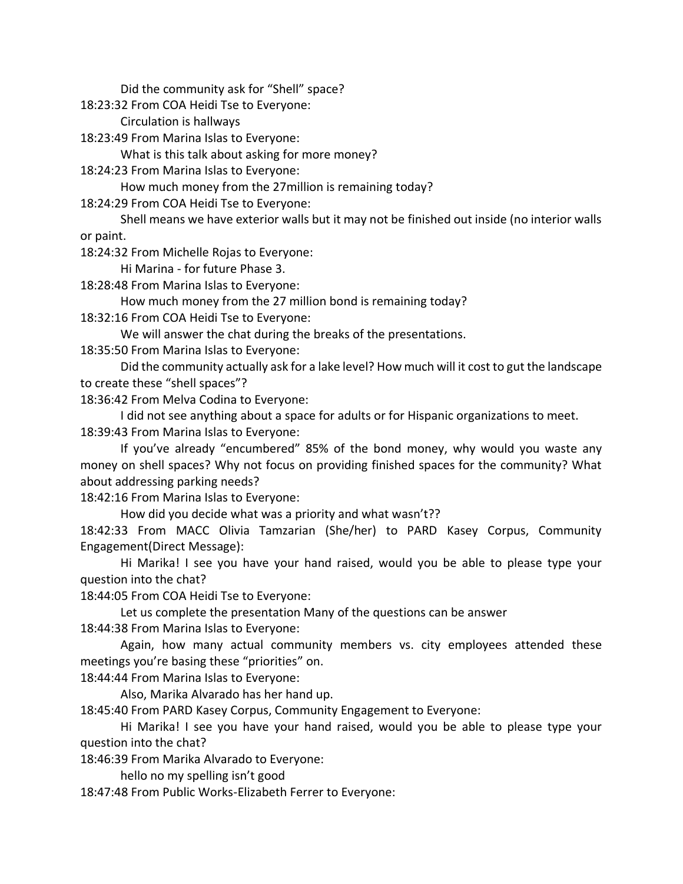Did the community ask for "Shell" space?

18:23:32 From COA Heidi Tse to Everyone:

Circulation is hallways

18:23:49 From Marina Islas to Everyone:

What is this talk about asking for more money?

18:24:23 From Marina Islas to Everyone:

How much money from the 27million is remaining today?

18:24:29 From COA Heidi Tse to Everyone:

Shell means we have exterior walls but it may not be finished out inside (no interior walls or paint.

18:24:32 From Michelle Rojas to Everyone:

Hi Marina - for future Phase 3.

18:28:48 From Marina Islas to Everyone:

How much money from the 27 million bond is remaining today?

18:32:16 From COA Heidi Tse to Everyone:

We will answer the chat during the breaks of the presentations.

18:35:50 From Marina Islas to Everyone:

Did the community actually ask for a lake level? How much will it cost to gut the landscape to create these "shell spaces"?

18:36:42 From Melva Codina to Everyone:

I did not see anything about a space for adults or for Hispanic organizations to meet. 18:39:43 From Marina Islas to Everyone:

If you've already "encumbered" 85% of the bond money, why would you waste any money on shell spaces? Why not focus on providing finished spaces for the community? What about addressing parking needs?

18:42:16 From Marina Islas to Everyone:

How did you decide what was a priority and what wasn't??

18:42:33 From MACC Olivia Tamzarian (She/her) to PARD Kasey Corpus, Community Engagement(Direct Message):

Hi Marika! I see you have your hand raised, would you be able to please type your question into the chat?

18:44:05 From COA Heidi Tse to Everyone:

Let us complete the presentation Many of the questions can be answer

18:44:38 From Marina Islas to Everyone:

Again, how many actual community members vs. city employees attended these meetings you're basing these "priorities" on.

18:44:44 From Marina Islas to Everyone:

Also, Marika Alvarado has her hand up.

18:45:40 From PARD Kasey Corpus, Community Engagement to Everyone:

Hi Marika! I see you have your hand raised, would you be able to please type your question into the chat?

18:46:39 From Marika Alvarado to Everyone:

hello no my spelling isn't good

18:47:48 From Public Works-Elizabeth Ferrer to Everyone: